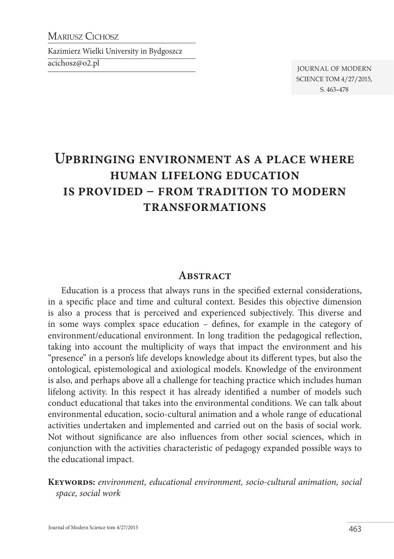MARIUSZ CICHOSZ

Kazimierz Wielki University in Bydgoszcz

acichosz@o2.pl

Journal of Modern Science tom 4/27/2015, s. 463–478

# **Upbringing environment as a place where human lifelong education is provided – from tradition to modern transformations**

#### **Abstract**

Education is a process that always runs in the specified external considerations, in a specific place and time and cultural context. Besides this objective dimension is also a process that is perceived and experienced subjectively. This diverse and in some ways complex space education – defines, for example in the category of environment/educational environment. In long tradition the pedagogical reflection, taking into account the multiplicity of ways that impact the environment and his "presence" in a person's life develops knowledge about its different types, but also the ontological, epistemological and axiological models. Knowledge of the environment is also, and perhaps above all a challenge for teaching practice which includes human lifelong activity. In this respect it has already identified a number of models such conduct educational that takes into the environmental conditions. We can talk about environmental education, socio-cultural animation and a whole range of educational activities undertaken and implemented and carried out on the basis of social work. Not without significance are also influences from other social sciences, which in conjunction with the activities characteristic of pedagogy expanded possible ways to the educational impact.

**Keywords:** *environment, educational environment, socio-cultural animation, social space, social work*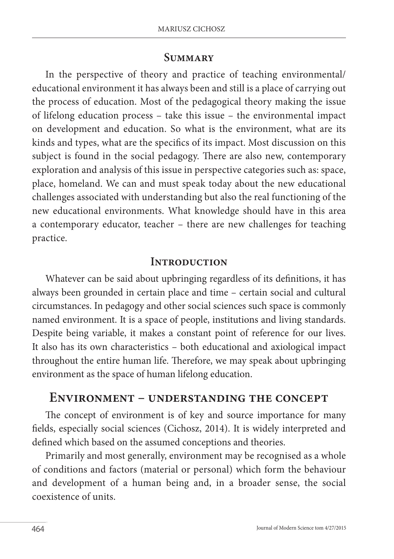#### **Summary**

In the perspective of theory and practice of teaching environmental/ educational environment it has always been and still is a place of carrying out the process of education. Most of the pedagogical theory making the issue of lifelong education process – take this issue – the environmental impact on development and education. So what is the environment, what are its kinds and types, what are the specifics of its impact. Most discussion on this subject is found in the social pedagogy. There are also new, contemporary exploration and analysis of this issue in perspective categories such as: space, place, homeland. We can and must speak today about the new educational challenges associated with understanding but also the real functioning of the new educational environments. What knowledge should have in this area a contemporary educator, teacher – there are new challenges for teaching practice.

#### **Introduction**

Whatever can be said about upbringing regardless of its definitions, it has always been grounded in certain place and time – certain social and cultural circumstances. In pedagogy and other social sciences such space is commonly named environment. It is a space of people, institutions and living standards. Despite being variable, it makes a constant point of reference for our lives. It also has its own characteristics – both educational and axiological impact throughout the entire human life. Therefore, we may speak about upbringing environment as the space of human lifelong education.

#### **Environment – understanding the concept**

The concept of environment is of key and source importance for many fields, especially social sciences (Cichosz, 2014). It is widely interpreted and defined which based on the assumed conceptions and theories.

Primarily and most generally, environment may be recognised as a whole of conditions and factors (material or personal) which form the behaviour and development of a human being and, in a broader sense, the social coexistence of units.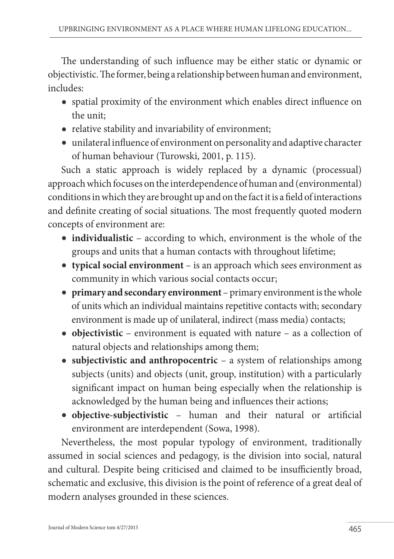The understanding of such influence may be either static or dynamic or objectivistic. The former, being a relationship between human and environment, includes:

- spatial proximity of the environment which enables direct influence on the unit;
- relative stability and invariability of environment;
- unilateral influence of environment on personality and adaptive character of human behaviour (Turowski, 2001, p. 115).

Such a static approach is widely replaced by a dynamic (processual) approach which focuses on the interdependence of human and (environmental) conditions in which they are brought up and on the fact it is a field of interactions and definite creating of social situations. The most frequently quoted modern concepts of environment are:

- **individualistic** according to which, environment is the whole of the groups and units that a human contacts with throughout lifetime;
- **typical social environment**  is an approach which sees environment as community in which various social contacts occur;
- **primary and secondary environment**  primary environment is the whole of units which an individual maintains repetitive contacts with; secondary environment is made up of unilateral, indirect (mass media) contacts;
- **objectivistic** environment is equated with nature as a collection of natural objects and relationships among them;
- **subjectivistic and anthropocentric** a system of relationships among subjects (units) and objects (unit, group, institution) with a particularly significant impact on human being especially when the relationship is acknowledged by the human being and influences their actions;
- **objective-subjectivistic** human and their natural or artificial environment are interdependent (Sowa, 1998).

Nevertheless, the most popular typology of environment, traditionally assumed in social sciences and pedagogy, is the division into social, natural and cultural. Despite being criticised and claimed to be insufficiently broad, schematic and exclusive, this division is the point of reference of a great deal of modern analyses grounded in these sciences.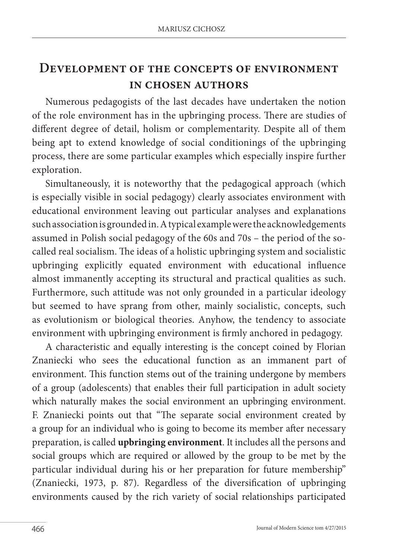### **Development of the concepts of environment in chosen authors**

Numerous pedagogists of the last decades have undertaken the notion of the role environment has in the upbringing process. There are studies of different degree of detail, holism or complementarity. Despite all of them being apt to extend knowledge of social conditionings of the upbringing process, there are some particular examples which especially inspire further exploration.

Simultaneously, it is noteworthy that the pedagogical approach (which is especially visible in social pedagogy) clearly associates environment with educational environment leaving out particular analyses and explanations such association is grounded in. A typical example were the acknowledgements assumed in Polish social pedagogy of the 60s and 70s – the period of the socalled real socialism. The ideas of a holistic upbringing system and socialistic upbringing explicitly equated environment with educational influence almost immanently accepting its structural and practical qualities as such. Furthermore, such attitude was not only grounded in a particular ideology but seemed to have sprang from other, mainly socialistic, concepts, such as evolutionism or biological theories. Anyhow, the tendency to associate environment with upbringing environment is firmly anchored in pedagogy.

A characteristic and equally interesting is the concept coined by Florian Znaniecki who sees the educational function as an immanent part of environment. This function stems out of the training undergone by members of a group (adolescents) that enables their full participation in adult society which naturally makes the social environment an upbringing environment. F. Znaniecki points out that "The separate social environment created by a group for an individual who is going to become its member after necessary preparation, is called **upbringing environment**. It includes all the persons and social groups which are required or allowed by the group to be met by the particular individual during his or her preparation for future membership" (Znaniecki, 1973, p. 87). Regardless of the diversification of upbringing environments caused by the rich variety of social relationships participated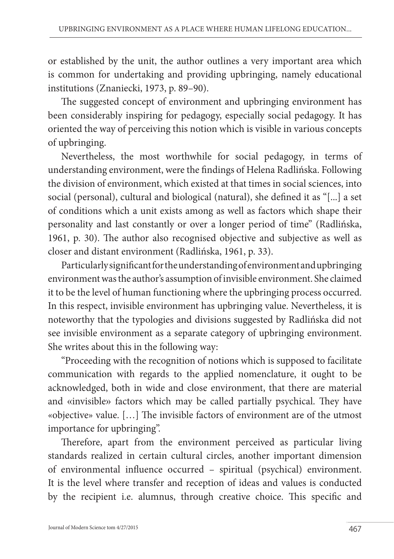or established by the unit, the author outlines a very important area which is common for undertaking and providing upbringing, namely educational institutions (Znaniecki, 1973, p. 89–90).

The suggested concept of environment and upbringing environment has been considerably inspiring for pedagogy, especially social pedagogy. It has oriented the way of perceiving this notion which is visible in various concepts of upbringing.

Nevertheless, the most worthwhile for social pedagogy, in terms of understanding environment, were the findings of Helena Radlińska. Following the division of environment, which existed at that times in social sciences, into social (personal), cultural and biological (natural), she defined it as "[...] a set of conditions which a unit exists among as well as factors which shape their personality and last constantly or over a longer period of time" (Radlińska, 1961, p. 30). The author also recognised objective and subjective as well as closer and distant environment (Radlińska, 1961, p. 33).

Particularly significant for the understanding of environment and upbringing environment was the author's assumption of invisible environment. She claimed it to be the level of human functioning where the upbringing process occurred. In this respect, invisible environment has upbringing value. Nevertheless, it is noteworthy that the typologies and divisions suggested by Radlińska did not see invisible environment as a separate category of upbringing environment. She writes about this in the following way:

"Proceeding with the recognition of notions which is supposed to facilitate communication with regards to the applied nomenclature, it ought to be acknowledged, both in wide and close environment, that there are material and «invisible» factors which may be called partially psychical. They have «objective» value. […] The invisible factors of environment are of the utmost importance for upbringing".

Therefore, apart from the environment perceived as particular living standards realized in certain cultural circles, another important dimension of environmental influence occurred – spiritual (psychical) environment. It is the level where transfer and reception of ideas and values is conducted by the recipient i.e. alumnus, through creative choice. This specific and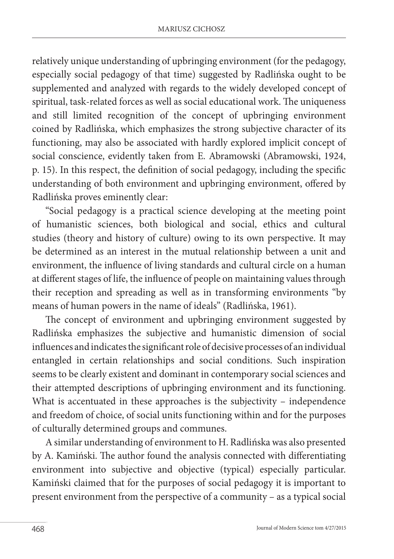relatively unique understanding of upbringing environment (for the pedagogy, especially social pedagogy of that time) suggested by Radlińska ought to be supplemented and analyzed with regards to the widely developed concept of spiritual, task-related forces as well as social educational work. The uniqueness and still limited recognition of the concept of upbringing environment coined by Radlińska, which emphasizes the strong subjective character of its functioning, may also be associated with hardly explored implicit concept of social conscience, evidently taken from E. Abramowski (Abramowski, 1924, p. 15). In this respect, the definition of social pedagogy, including the specific understanding of both environment and upbringing environment, offered by Radlińska proves eminently clear:

"Social pedagogy is a practical science developing at the meeting point of humanistic sciences, both biological and social, ethics and cultural studies (theory and history of culture) owing to its own perspective. It may be determined as an interest in the mutual relationship between a unit and environment, the influence of living standards and cultural circle on a human at different stages of life, the influence of people on maintaining values through their reception and spreading as well as in transforming environments "by means of human powers in the name of ideals" (Radlińska, 1961).

The concept of environment and upbringing environment suggested by Radlińska emphasizes the subjective and humanistic dimension of social influences and indicates the significant role of decisive processes of an individual entangled in certain relationships and social conditions. Such inspiration seems to be clearly existent and dominant in contemporary social sciences and their attempted descriptions of upbringing environment and its functioning. What is accentuated in these approaches is the subjectivity – independence and freedom of choice, of social units functioning within and for the purposes of culturally determined groups and communes.

A similar understanding of environment to H. Radlińska was also presented by A. Kamiński. The author found the analysis connected with differentiating environment into subjective and objective (typical) especially particular. Kamiński claimed that for the purposes of social pedagogy it is important to present environment from the perspective of a community – as a typical social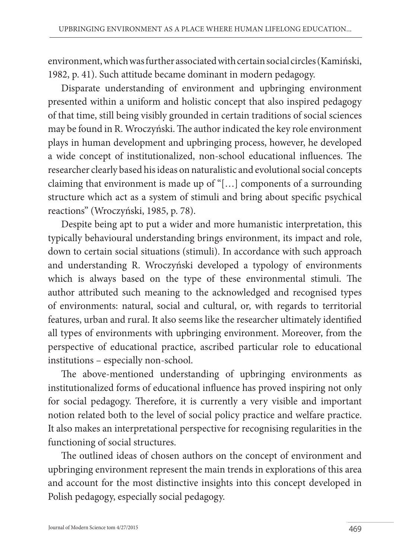environment, which was further associated with certain social circles (Kamiński, 1982, p. 41). Such attitude became dominant in modern pedagogy.

Disparate understanding of environment and upbringing environment presented within a uniform and holistic concept that also inspired pedagogy of that time, still being visibly grounded in certain traditions of social sciences may be found in R. Wroczyński. The author indicated the key role environment plays in human development and upbringing process, however, he developed a wide concept of institutionalized, non-school educational influences. The researcher clearly based his ideas on naturalistic and evolutional social concepts claiming that environment is made up of "[…] components of a surrounding structure which act as a system of stimuli and bring about specific psychical reactions" (Wroczyński, 1985, p. 78).

Despite being apt to put a wider and more humanistic interpretation, this typically behavioural understanding brings environment, its impact and role, down to certain social situations (stimuli). In accordance with such approach and understanding R. Wroczyński developed a typology of environments which is always based on the type of these environmental stimuli. The author attributed such meaning to the acknowledged and recognised types of environments: natural, social and cultural, or, with regards to territorial features, urban and rural. It also seems like the researcher ultimately identified all types of environments with upbringing environment. Moreover, from the perspective of educational practice, ascribed particular role to educational institutions – especially non-school.

The above-mentioned understanding of upbringing environments as institutionalized forms of educational influence has proved inspiring not only for social pedagogy. Therefore, it is currently a very visible and important notion related both to the level of social policy practice and welfare practice. It also makes an interpretational perspective for recognising regularities in the functioning of social structures.

The outlined ideas of chosen authors on the concept of environment and upbringing environment represent the main trends in explorations of this area and account for the most distinctive insights into this concept developed in Polish pedagogy, especially social pedagogy.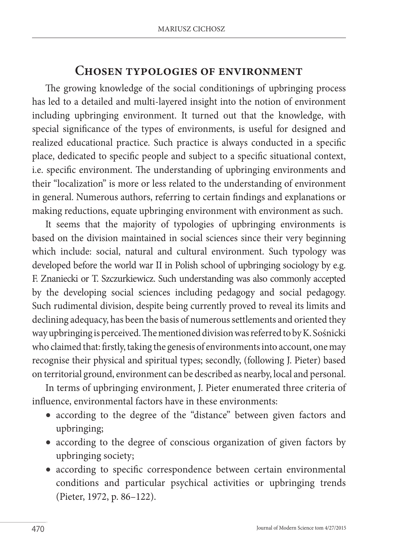#### **Chosen typologies of environment**

The growing knowledge of the social conditionings of upbringing process has led to a detailed and multi-layered insight into the notion of environment including upbringing environment. It turned out that the knowledge, with special significance of the types of environments, is useful for designed and realized educational practice. Such practice is always conducted in a specific place, dedicated to specific people and subject to a specific situational context, i.e. specific environment. The understanding of upbringing environments and their "localization" is more or less related to the understanding of environment in general. Numerous authors, referring to certain findings and explanations or making reductions, equate upbringing environment with environment as such.

It seems that the majority of typologies of upbringing environments is based on the division maintained in social sciences since their very beginning which include: social, natural and cultural environment. Such typology was developed before the world war II in Polish school of upbringing sociology by e.g. F. Znaniecki or T. Szczurkiewicz. Such understanding was also commonly accepted by the developing social sciences including pedagogy and social pedagogy. Such rudimental division, despite being currently proved to reveal its limits and declining adequacy, has been the basis of numerous settlements and oriented they way upbringing is perceived. The mentioned division was referred to by K. Sośnicki who claimed that: firstly, taking the genesis of environments into account, one may recognise their physical and spiritual types; secondly, (following J. Pieter) based on territorial ground, environment can be described as nearby, local and personal.

In terms of upbringing environment, J. Pieter enumerated three criteria of influence, environmental factors have in these environments:

- according to the degree of the "distance" between given factors and upbringing;
- according to the degree of conscious organization of given factors by upbringing society;
- according to specific correspondence between certain environmental conditions and particular psychical activities or upbringing trends (Pieter, 1972, p. 86–122).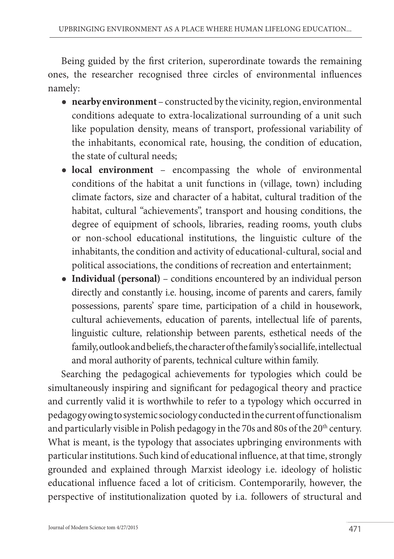Being guided by the first criterion, superordinate towards the remaining ones, the researcher recognised three circles of environmental influences namely:

- **nearby environment**  constructed by the vicinity, region, environmental conditions adequate to extra-localizational surrounding of a unit such like population density, means of transport, professional variability of the inhabitants, economical rate, housing, the condition of education, the state of cultural needs;
- **local environment** encompassing the whole of environmental conditions of the habitat a unit functions in (village, town) including climate factors, size and character of a habitat, cultural tradition of the habitat, cultural "achievements", transport and housing conditions, the degree of equipment of schools, libraries, reading rooms, youth clubs or non-school educational institutions, the linguistic culture of the inhabitants, the condition and activity of educational-cultural, social and political associations, the conditions of recreation and entertainment;
- **Individual (personal)**  conditions encountered by an individual person directly and constantly i.e. housing, income of parents and carers, family possessions, parents' spare time, participation of a child in housework, cultural achievements, education of parents, intellectual life of parents, linguistic culture, relationship between parents, esthetical needs of the family, outlook and beliefs, the character of the family's social life, intellectual and moral authority of parents, technical culture within family.

Searching the pedagogical achievements for typologies which could be simultaneously inspiring and significant for pedagogical theory and practice and currently valid it is worthwhile to refer to a typology which occurred in pedagogy owing to systemic sociology conducted in the current of functionalism and particularly visible in Polish pedagogy in the 70s and 80s of the 20<sup>th</sup> century. What is meant, is the typology that associates upbringing environments with particular institutions. Such kind of educational influence, at that time, strongly grounded and explained through Marxist ideology i.e. ideology of holistic educational influence faced a lot of criticism. Contemporarily, however, the perspective of institutionalization quoted by i.a. followers of structural and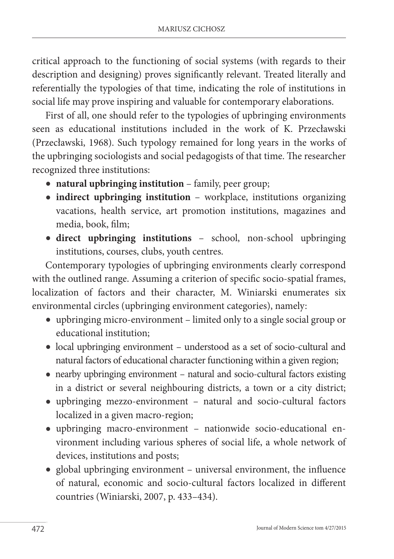critical approach to the functioning of social systems (with regards to their description and designing) proves significantly relevant. Treated literally and referentially the typologies of that time, indicating the role of institutions in social life may prove inspiring and valuable for contemporary elaborations.

First of all, one should refer to the typologies of upbringing environments seen as educational institutions included in the work of K. Przecławski (Przecławski, 1968). Such typology remained for long years in the works of the upbringing sociologists and social pedagogists of that time. The researcher recognized three institutions:

- natural upbringing institution family, peer group;
- **indirect upbringing institution**  workplace, institutions organizing vacations, health service, art promotion institutions, magazines and media, book, film;
- **direct upbringing institutions**  school, non-school upbringing institutions, courses, clubs, youth centres.

Contemporary typologies of upbringing environments clearly correspond with the outlined range. Assuming a criterion of specific socio-spatial frames, localization of factors and their character, M. Winiarski enumerates six environmental circles (upbringing environment categories), namely:

- upbringing micro-environment limited only to a single social group or educational institution;
- local upbringing environment understood as a set of socio-cultural and natural factors of educational character functioning within a given region;
- nearby upbringing environment natural and socio-cultural factors existing in a district or several neighbouring districts, a town or a city district;
- upbringing mezzo-environment natural and socio-cultural factors localized in a given macro-region;
- upbringing macro-environment nationwide socio-educational environment including various spheres of social life, a whole network of devices, institutions and posts;
- global upbringing environment universal environment, the influence of natural, economic and socio-cultural factors localized in different countries (Winiarski, 2007, p. 433–434).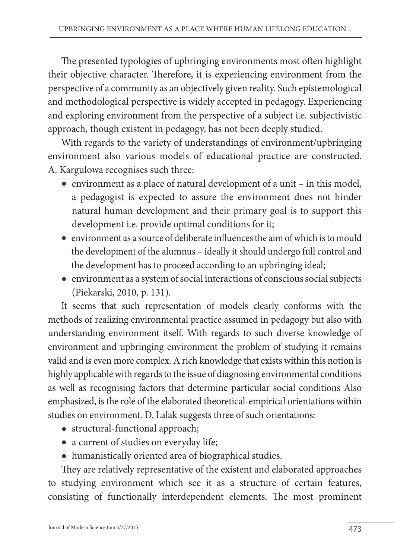The presented typologies of upbringing environments most often highlight their objective character. Therefore, it is experiencing environment from the perspective of a community as an objectively given reality. Such epistemological and methodological perspective is widely accepted in pedagogy. Experiencing and exploring environment from the perspective of a subject i.e. subjectivistic approach, though existent in pedagogy, has not been deeply studied.

With regards to the variety of understandings of environment/upbringing environment also various models of educational practice are constructed. A. Kargulowa recognises such three:

- environment as a place of natural development of a unit in this model, a pedagogist is expected to assure the environment does not hinder natural human development and their primary goal is to support this development i.e. provide optimal conditions for it;
- environment as a source of deliberate influences the aim of which is to mould the development of the alumnus – ideally it should undergo full control and the development has to proceed according to an upbringing ideal;
- environment as a system of social interactions of conscious social subjects (Piekarski, 2010, p. 131).

It seems that such representation of models clearly conforms with the methods of realizing environmental practice assumed in pedagogy but also with understanding environment itself. With regards to such diverse knowledge of environment and upbringing environment the problem of studying it remains valid and is even more complex. A rich knowledge that exists within this notion is highly applicable with regards to the issue of diagnosing environmental conditions as well as recognising factors that determine particular social conditions Also emphasized, is the role of the elaborated theoretical-empirical orientations within studies on environment. D. Lalak suggests three of such orientations:

- structural-functional approach;
- a current of studies on everyday life;
- humanistically oriented area of biographical studies.

They are relatively representative of the existent and elaborated approaches to studying environment which see it as a structure of certain features, consisting of functionally interdependent elements. The most prominent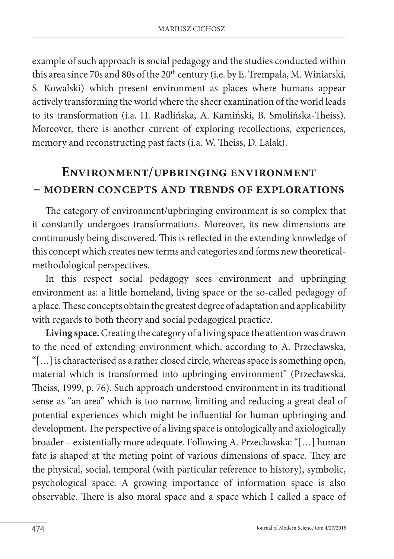example of such approach is social pedagogy and the studies conducted within this area since 70s and 80s of the 20<sup>th</sup> century (i.e. by E. Trempała, M. Winiarski, S. Kowalski) which present environment as places where humans appear actively transforming the world where the sheer examination of the world leads to its transformation (i.a. H. Radlińska, A. Kamiński, B. Smolińska-Theiss). Moreover, there is another current of exploring recollections, experiences, memory and reconstructing past facts (i.a. W. Theiss, D. Lalak).

## **Environment/upbringing environment – modern concepts and trends of explorations**

The category of environment/upbringing environment is so complex that it constantly undergoes transformations. Moreover, its new dimensions are continuously being discovered. This is reflected in the extending knowledge of this concept which creates new terms and categories and forms new theoreticalmethodological perspectives.

In this respect social pedagogy sees environment and upbringing environment as: a little homeland, living space or the so-called pedagogy of a place. These concepts obtain the greatest degree of adaptation and applicability with regards to both theory and social pedagogical practice.

**Living space.** Creating the category of a living space the attention was drawn to the need of extending environment which, according to A. Przecławska, "[…] is characterised as a rather closed circle, whereas space is something open, material which is transformed into upbringing environment" (Przecławska, Theiss, 1999, p. 76). Such approach understood environment in its traditional sense as "an area" which is too narrow, limiting and reducing a great deal of potential experiences which might be influential for human upbringing and development. The perspective of a living space is ontologically and axiologically broader – existentially more adequate. Following A. Przecławska: "[…] human fate is shaped at the meting point of various dimensions of space. They are the physical, social, temporal (with particular reference to history), symbolic, psychological space. A growing importance of information space is also observable. There is also moral space and a space which I called a space of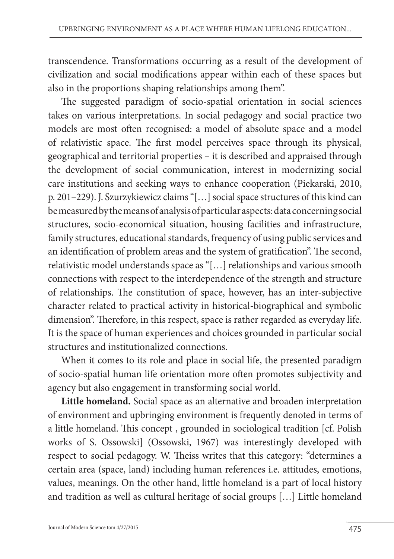transcendence. Transformations occurring as a result of the development of civilization and social modifications appear within each of these spaces but also in the proportions shaping relationships among them".

The suggested paradigm of socio-spatial orientation in social sciences takes on various interpretations. In social pedagogy and social practice two models are most often recognised: a model of absolute space and a model of relativistic space. The first model perceives space through its physical, geographical and territorial properties – it is described and appraised through the development of social communication, interest in modernizing social care institutions and seeking ways to enhance cooperation (Piekarski, 2010, p. 201–229). J. Szurzykiewicz claims "[…] social space structures of this kind can be measured by the means of analysis of particular aspects: data concerning social structures, socio-economical situation, housing facilities and infrastructure, family structures, educational standards, frequency of using public services and an identification of problem areas and the system of gratification". The second, relativistic model understands space as "[…] relationships and various smooth connections with respect to the interdependence of the strength and structure of relationships. The constitution of space, however, has an inter-subjective character related to practical activity in historical-biographical and symbolic dimension". Therefore, in this respect, space is rather regarded as everyday life. It is the space of human experiences and choices grounded in particular social structures and institutionalized connections.

When it comes to its role and place in social life, the presented paradigm of socio-spatial human life orientation more often promotes subjectivity and agency but also engagement in transforming social world.

**Little homeland.** Social space as an alternative and broaden interpretation of environment and upbringing environment is frequently denoted in terms of a little homeland. This concept , grounded in sociological tradition [cf. Polish works of S. Ossowski] (Ossowski, 1967) was interestingly developed with respect to social pedagogy. W. Theiss writes that this category: "determines a certain area (space, land) including human references i.e. attitudes, emotions, values, meanings. On the other hand, little homeland is a part of local history and tradition as well as cultural heritage of social groups […] Little homeland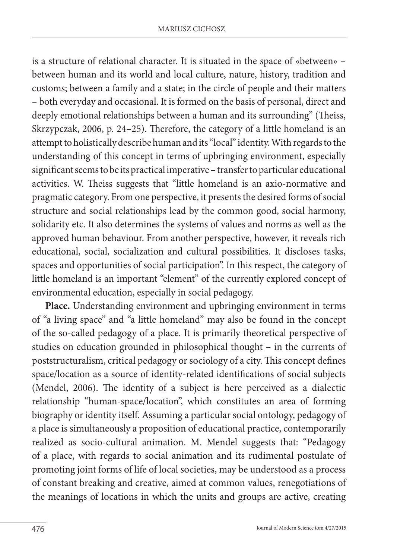is a structure of relational character. It is situated in the space of «between» – between human and its world and local culture, nature, history, tradition and customs; between a family and a state; in the circle of people and their matters – both everyday and occasional. It is formed on the basis of personal, direct and deeply emotional relationships between a human and its surrounding" (Theiss, Skrzypczak, 2006, p. 24–25). Therefore, the category of a little homeland is an attempt to holistically describe human and its "local" identity. With regards to the understanding of this concept in terms of upbringing environment, especially significant seems to be its practical imperative – transfer to particular educational activities. W. Theiss suggests that "little homeland is an axio-normative and pragmatic category. From one perspective, it presents the desired forms of social structure and social relationships lead by the common good, social harmony, solidarity etc. It also determines the systems of values and norms as well as the approved human behaviour. From another perspective, however, it reveals rich educational, social, socialization and cultural possibilities. It discloses tasks, spaces and opportunities of social participation". In this respect, the category of little homeland is an important "element" of the currently explored concept of environmental education, especially in social pedagogy.

**Place.** Understanding environment and upbringing environment in terms of "a living space" and "a little homeland" may also be found in the concept of the so-called pedagogy of a place. It is primarily theoretical perspective of studies on education grounded in philosophical thought – in the currents of poststructuralism, critical pedagogy or sociology of a city. This concept defines space/location as a source of identity-related identifications of social subjects (Mendel, 2006). The identity of a subject is here perceived as a dialectic relationship "human-space/location", which constitutes an area of forming biography or identity itself. Assuming a particular social ontology, pedagogy of a place is simultaneously a proposition of educational practice, contemporarily realized as socio-cultural animation. M. Mendel suggests that: "Pedagogy of a place, with regards to social animation and its rudimental postulate of promoting joint forms of life of local societies, may be understood as a process of constant breaking and creative, aimed at common values, renegotiations of the meanings of locations in which the units and groups are active, creating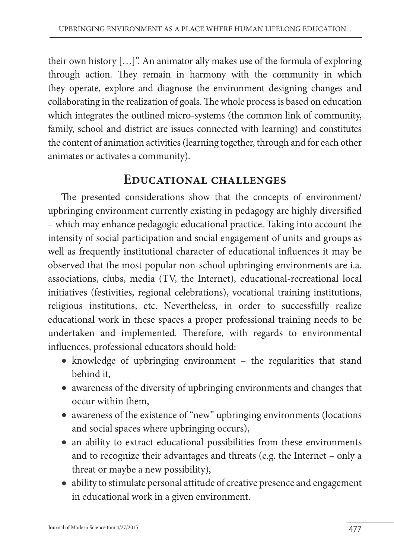their own history […]". An animator ally makes use of the formula of exploring through action. They remain in harmony with the community in which they operate, explore and diagnose the environment designing changes and collaborating in the realization of goals. The whole process is based on education which integrates the outlined micro-systems (the common link of community, family, school and district are issues connected with learning) and constitutes the content of animation activities (learning together, through and for each other animates or activates a community).

### **Educational challenges**

The presented considerations show that the concepts of environment/ upbringing environment currently existing in pedagogy are highly diversified – which may enhance pedagogic educational practice. Taking into account the intensity of social participation and social engagement of units and groups as well as frequently institutional character of educational influences it may be observed that the most popular non-school upbringing environments are i.a. associations, clubs, media (TV, the Internet), educational-recreational local initiatives (festivities, regional celebrations), vocational training institutions, religious institutions, etc. Nevertheless, in order to successfully realize educational work in these spaces a proper professional training needs to be undertaken and implemented. Therefore, with regards to environmental influences, professional educators should hold:

- knowledge of upbringing environment the regularities that stand behind it,
- awareness of the diversity of upbringing environments and changes that occur within them,
- awareness of the existence of "new" upbringing environments (locations and social spaces where upbringing occurs),
- an ability to extract educational possibilities from these environments and to recognize their advantages and threats (e.g. the Internet – only a threat or maybe a new possibility),
- ability to stimulate personal attitude of creative presence and engagement in educational work in a given environment.